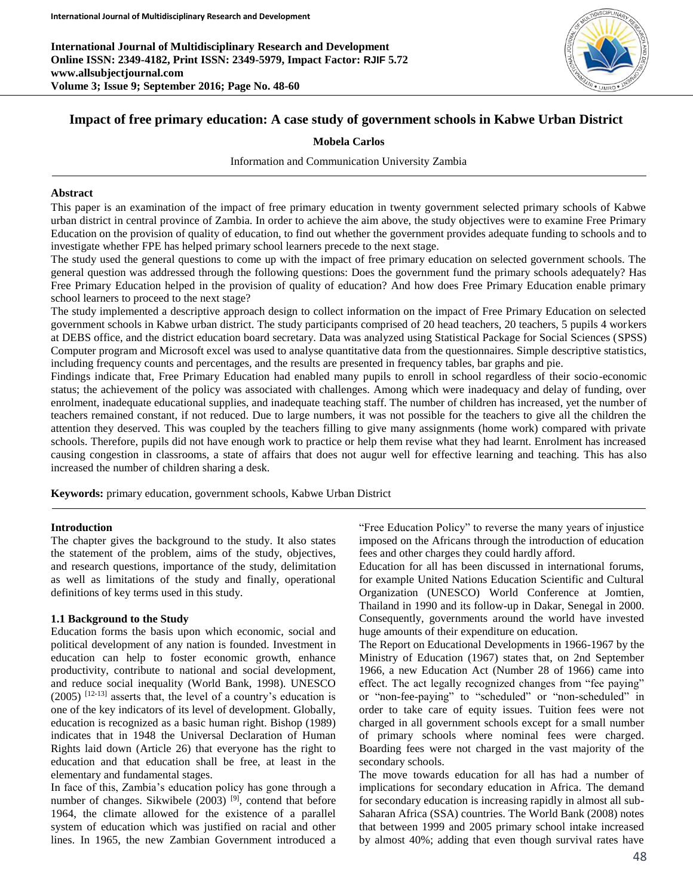**International Journal of Multidisciplinary Research and Development Online ISSN: 2349-4182, Print ISSN: 2349-5979, Impact Factor: RJIF 5.72 www.allsubjectjournal.com Volume 3; Issue 9; September 2016; Page No. 48-60**



# **Impact of free primary education: A case study of government schools in Kabwe Urban District**

### **Mobela Carlos**

Information and Communication University Zambia

### **Abstract**

This paper is an examination of the impact of free primary education in twenty government selected primary schools of Kabwe urban district in central province of Zambia. In order to achieve the aim above, the study objectives were to examine Free Primary Education on the provision of quality of education, to find out whether the government provides adequate funding to schools and to investigate whether FPE has helped primary school learners precede to the next stage.

The study used the general questions to come up with the impact of free primary education on selected government schools. The general question was addressed through the following questions: Does the government fund the primary schools adequately? Has Free Primary Education helped in the provision of quality of education? And how does Free Primary Education enable primary school learners to proceed to the next stage?

The study implemented a descriptive approach design to collect information on the impact of Free Primary Education on selected government schools in Kabwe urban district. The study participants comprised of 20 head teachers, 20 teachers, 5 pupils 4 workers at DEBS office, and the district education board secretary. Data was analyzed using Statistical Package for Social Sciences (SPSS) Computer program and Microsoft excel was used to analyse quantitative data from the questionnaires. Simple descriptive statistics, including frequency counts and percentages, and the results are presented in frequency tables, bar graphs and pie.

Findings indicate that, Free Primary Education had enabled many pupils to enroll in school regardless of their socio-economic status; the achievement of the policy was associated with challenges. Among which were inadequacy and delay of funding, over enrolment, inadequate educational supplies, and inadequate teaching staff. The number of children has increased, yet the number of teachers remained constant, if not reduced. Due to large numbers, it was not possible for the teachers to give all the children the attention they deserved. This was coupled by the teachers filling to give many assignments (home work) compared with private schools. Therefore, pupils did not have enough work to practice or help them revise what they had learnt. Enrolment has increased causing congestion in classrooms, a state of affairs that does not augur well for effective learning and teaching. This has also increased the number of children sharing a desk.

**Keywords:** primary education, government schools, Kabwe Urban District

#### **Introduction**

The chapter gives the background to the study. It also states the statement of the problem, aims of the study, objectives, and research questions, importance of the study, delimitation as well as limitations of the study and finally, operational definitions of key terms used in this study.

### **1.1 Background to the Study**

Education forms the basis upon which economic, social and political development of any nation is founded. Investment in education can help to foster economic growth, enhance productivity, contribute to national and social development, and reduce social inequality (World Bank, 1998). UNESCO  $(2005)$  <sup>[12-13]</sup> asserts that, the level of a country's education is one of the key indicators of its level of development. Globally, education is recognized as a basic human right. Bishop (1989) indicates that in 1948 the Universal Declaration of Human Rights laid down (Article 26) that everyone has the right to education and that education shall be free, at least in the elementary and fundamental stages.

In face of this, Zambia's education policy has gone through a number of changes. Sikwibele (2003)<sup>[9]</sup>, contend that before 1964, the climate allowed for the existence of a parallel system of education which was justified on racial and other lines. In 1965, the new Zambian Government introduced a

"Free Education Policy" to reverse the many years of injustice imposed on the Africans through the introduction of education fees and other charges they could hardly afford.

Education for all has been discussed in international forums, for example United Nations Education Scientific and Cultural Organization (UNESCO) World Conference at Jomtien, Thailand in 1990 and its follow-up in Dakar, Senegal in 2000. Consequently, governments around the world have invested huge amounts of their expenditure on education.

The Report on Educational Developments in 1966-1967 by the Ministry of Education (1967) states that, on 2nd September 1966, a new Education Act (Number 28 of 1966) came into effect. The act legally recognized changes from "fee paying" or "non-fee-paying" to "scheduled" or "non-scheduled" in order to take care of equity issues. Tuition fees were not charged in all government schools except for a small number of primary schools where nominal fees were charged. Boarding fees were not charged in the vast majority of the secondary schools.

The move towards education for all has had a number of implications for secondary education in Africa. The demand for secondary education is increasing rapidly in almost all sub-Saharan Africa (SSA) countries. The World Bank (2008) notes that between 1999 and 2005 primary school intake increased by almost 40%; adding that even though survival rates have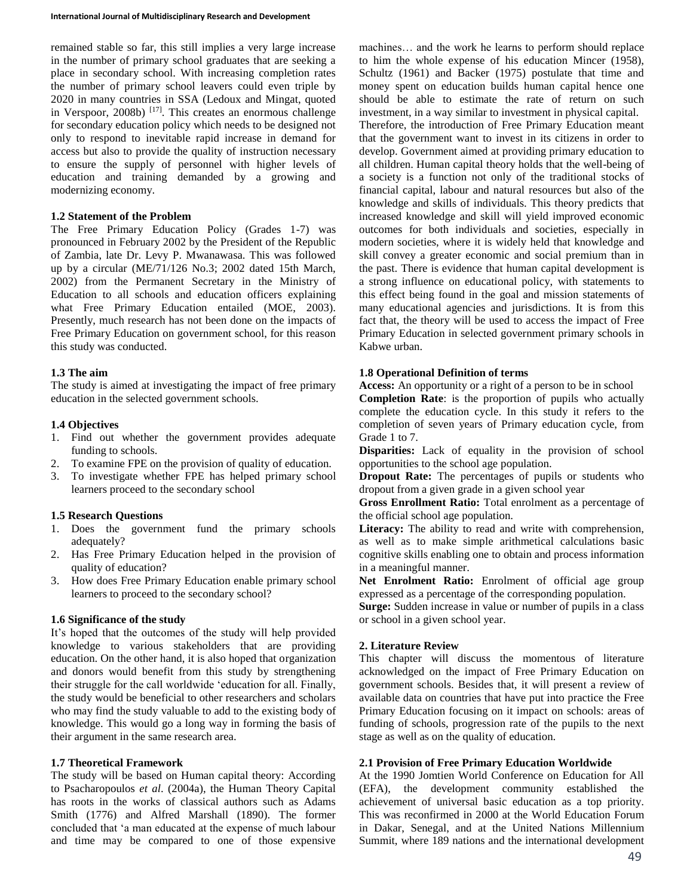remained stable so far, this still implies a very large increase in the number of primary school graduates that are seeking a place in secondary school. With increasing completion rates the number of primary school leavers could even triple by 2020 in many countries in SSA (Ledoux and Mingat, quoted in Verspoor, 2008b) [17]. This creates an enormous challenge for secondary education policy which needs to be designed not only to respond to inevitable rapid increase in demand for access but also to provide the quality of instruction necessary to ensure the supply of personnel with higher levels of education and training demanded by a growing and modernizing economy.

## **1.2 Statement of the Problem**

The Free Primary Education Policy (Grades 1-7) was pronounced in February 2002 by the President of the Republic of Zambia, late Dr. Levy P. Mwanawasa. This was followed up by a circular (ME/71/126 No.3; 2002 dated 15th March, 2002) from the Permanent Secretary in the Ministry of Education to all schools and education officers explaining what Free Primary Education entailed (MOE, 2003). Presently, much research has not been done on the impacts of Free Primary Education on government school, for this reason this study was conducted.

### **1.3 The aim**

The study is aimed at investigating the impact of free primary education in the selected government schools.

## **1.4 Objectives**

- 1. Find out whether the government provides adequate funding to schools.
- 2. To examine FPE on the provision of quality of education.
- 3. To investigate whether FPE has helped primary school learners proceed to the secondary school

## **1.5 Research Questions**

- 1. Does the government fund the primary schools adequately?
- 2. Has Free Primary Education helped in the provision of quality of education?
- 3. How does Free Primary Education enable primary school learners to proceed to the secondary school?

### **1.6 Significance of the study**

It's hoped that the outcomes of the study will help provided knowledge to various stakeholders that are providing education. On the other hand, it is also hoped that organization and donors would benefit from this study by strengthening their struggle for the call worldwide 'education for all. Finally, the study would be beneficial to other researchers and scholars who may find the study valuable to add to the existing body of knowledge. This would go a long way in forming the basis of their argument in the same research area.

### **1.7 Theoretical Framework**

The study will be based on Human capital theory: According to Psacharopoulos *et al*. (2004a), the Human Theory Capital has roots in the works of classical authors such as Adams Smith (1776) and Alfred Marshall (1890). The former concluded that 'a man educated at the expense of much labour and time may be compared to one of those expensive machines… and the work he learns to perform should replace to him the whole expense of his education Mincer (1958), Schultz (1961) and Backer (1975) postulate that time and money spent on education builds human capital hence one should be able to estimate the rate of return on such investment, in a way similar to investment in physical capital. Therefore, the introduction of Free Primary Education meant that the government want to invest in its citizens in order to develop. Government aimed at providing primary education to all children. Human capital theory holds that the well-being of a society is a function not only of the traditional stocks of financial capital, labour and natural resources but also of the knowledge and skills of individuals. This theory predicts that increased knowledge and skill will yield improved economic outcomes for both individuals and societies, especially in modern societies, where it is widely held that knowledge and skill convey a greater economic and social premium than in the past. There is evidence that human capital development is a strong influence on educational policy, with statements to this effect being found in the goal and mission statements of many educational agencies and jurisdictions. It is from this fact that, the theory will be used to access the impact of Free Primary Education in selected government primary schools in Kabwe urban.

#### **1.8 Operational Definition of terms**

**Access:** An opportunity or a right of a person to be in school **Completion Rate**: is the proportion of pupils who actually complete the education cycle. In this study it refers to the completion of seven years of Primary education cycle, from Grade 1 to 7.

**Disparities:** Lack of equality in the provision of school opportunities to the school age population.

**Dropout Rate:** The percentages of pupils or students who dropout from a given grade in a given school year

**Gross Enrollment Ratio:** Total enrolment as a percentage of the official school age population.

Literacy: The ability to read and write with comprehension, as well as to make simple arithmetical calculations basic cognitive skills enabling one to obtain and process information in a meaningful manner.

Net Enrolment Ratio: Enrolment of official age group expressed as a percentage of the corresponding population.

**Surge:** Sudden increase in value or number of pupils in a class or school in a given school year.

### **2. Literature Review**

This chapter will discuss the momentous of literature acknowledged on the impact of Free Primary Education on government schools. Besides that, it will present a review of available data on countries that have put into practice the Free Primary Education focusing on it impact on schools: areas of funding of schools, progression rate of the pupils to the next stage as well as on the quality of education.

### **2.1 Provision of Free Primary Education Worldwide**

At the 1990 Jomtien World Conference on Education for All (EFA), the development community established the achievement of universal basic education as a top priority. This was reconfirmed in 2000 at the World Education Forum in Dakar, Senegal, and at the United Nations Millennium Summit, where 189 nations and the international development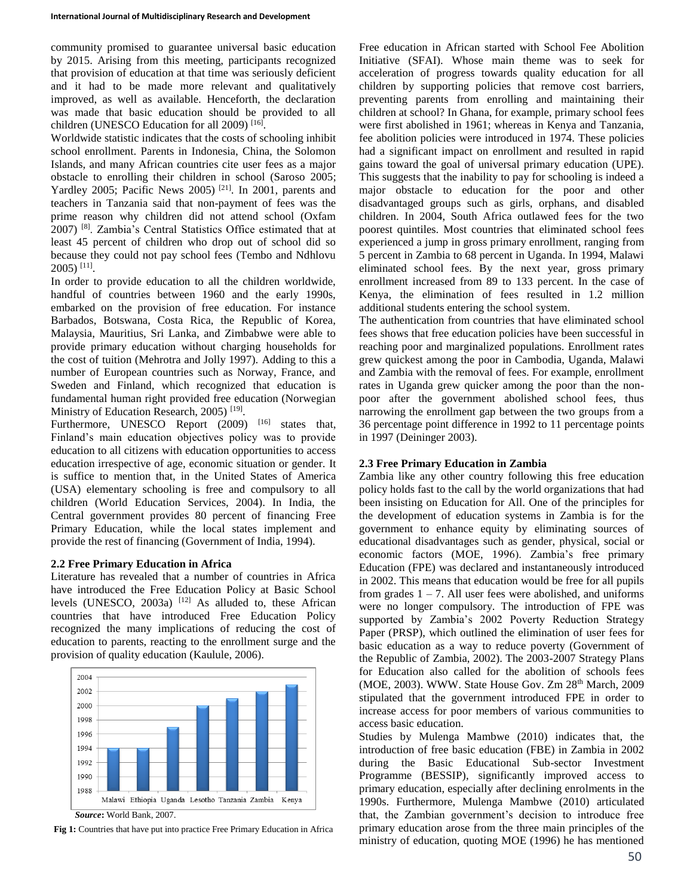community promised to guarantee universal basic education by 2015. Arising from this meeting, participants recognized that provision of education at that time was seriously deficient and it had to be made more relevant and qualitatively improved, as well as available. Henceforth, the declaration was made that basic education should be provided to all children (UNESCO Education for all 2009)<sup>[16]</sup>.

Worldwide statistic indicates that the costs of schooling inhibit school enrollment. Parents in Indonesia, China, the Solomon Islands, and many African countries cite user fees as a major obstacle to enrolling their children in school (Saroso 2005; Yardley 2005; Pacific News 2005) [21]. In 2001, parents and teachers in Tanzania said that non-payment of fees was the prime reason why children did not attend school (Oxfam 2007) [8]. Zambia's Central Statistics Office estimated that at least 45 percent of children who drop out of school did so because they could not pay school fees (Tembo and Ndhlovu 2005) [11] .

In order to provide education to all the children worldwide, handful of countries between 1960 and the early 1990s, embarked on the provision of free education. For instance Barbados, Botswana, Costa Rica, the Republic of Korea, Malaysia, Mauritius, Sri Lanka, and Zimbabwe were able to provide primary education without charging households for the cost of tuition (Mehrotra and Jolly 1997). Adding to this a number of European countries such as Norway, France, and Sweden and Finland, which recognized that education is fundamental human right provided free education (Norwegian Ministry of Education Research, 2005)<sup>[19]</sup>.

Furthermore, UNESCO Report  $(2009)$  <sup>[16]</sup> states that, Finland's main education objectives policy was to provide education to all citizens with education opportunities to access education irrespective of age, economic situation or gender. It is suffice to mention that, in the United States of America (USA) elementary schooling is free and compulsory to all children (World Education Services, 2004). In India, the Central government provides 80 percent of financing Free Primary Education, while the local states implement and provide the rest of financing (Government of India, 1994).

# **2.2 Free Primary Education in Africa**

Literature has revealed that a number of countries in Africa have introduced the Free Education Policy at Basic School levels (UNESCO, 2003a)  $[12]$  As alluded to, these African countries that have introduced Free Education Policy recognized the many implications of reducing the cost of education to parents, reacting to the enrollment surge and the provision of quality education (Kaulule, 2006).



**Fig 1:** Countries that have put into practice Free Primary Education in Africa

Free education in African started with School Fee Abolition Initiative (SFAI). Whose main theme was to seek for acceleration of progress towards quality education for all children by supporting policies that remove cost barriers, preventing parents from enrolling and maintaining their children at school? In Ghana, for example, primary school fees were first abolished in 1961; whereas in Kenya and Tanzania, fee abolition policies were introduced in 1974. These policies had a significant impact on enrollment and resulted in rapid gains toward the goal of universal primary education (UPE). This suggests that the inability to pay for schooling is indeed a major obstacle to education for the poor and other disadvantaged groups such as girls, orphans, and disabled children. In 2004, South Africa outlawed fees for the two poorest quintiles. Most countries that eliminated school fees experienced a jump in gross primary enrollment, ranging from 5 percent in Zambia to 68 percent in Uganda. In 1994, Malawi eliminated school fees. By the next year, gross primary enrollment increased from 89 to 133 percent. In the case of Kenya, the elimination of fees resulted in 1.2 million additional students entering the school system.

The authentication from countries that have eliminated school fees shows that free education policies have been successful in reaching poor and marginalized populations. Enrollment rates grew quickest among the poor in Cambodia, Uganda, Malawi and Zambia with the removal of fees. For example, enrollment rates in Uganda grew quicker among the poor than the nonpoor after the government abolished school fees, thus narrowing the enrollment gap between the two groups from a 36 percentage point difference in 1992 to 11 percentage points in 1997 (Deininger 2003).

# **2.3 Free Primary Education in Zambia**

Zambia like any other country following this free education policy holds fast to the call by the world organizations that had been insisting on Education for All. One of the principles for the development of education systems in Zambia is for the government to enhance equity by eliminating sources of educational disadvantages such as gender, physical, social or economic factors (MOE, 1996). Zambia's free primary Education (FPE) was declared and instantaneously introduced in 2002. This means that education would be free for all pupils from grades  $1 - 7$ . All user fees were abolished, and uniforms were no longer compulsory. The introduction of FPE was supported by Zambia's 2002 Poverty Reduction Strategy Paper (PRSP), which outlined the elimination of user fees for basic education as a way to reduce poverty (Government of the Republic of Zambia, 2002). The 2003-2007 Strategy Plans for Education also called for the abolition of schools fees (MOE, 2003). WWW. State House Gov. Zm 28<sup>th</sup> March, 2009 stipulated that the government introduced FPE in order to increase access for poor members of various communities to access basic education.

Studies by Mulenga Mambwe (2010) indicates that, the introduction of free basic education (FBE) in Zambia in 2002 during the Basic Educational Sub-sector Investment Programme (BESSIP), significantly improved access to primary education, especially after declining enrolments in the 1990s. Furthermore, Mulenga Mambwe (2010) articulated that, the Zambian government's decision to introduce free primary education arose from the three main principles of the ministry of education, quoting MOE (1996) he has mentioned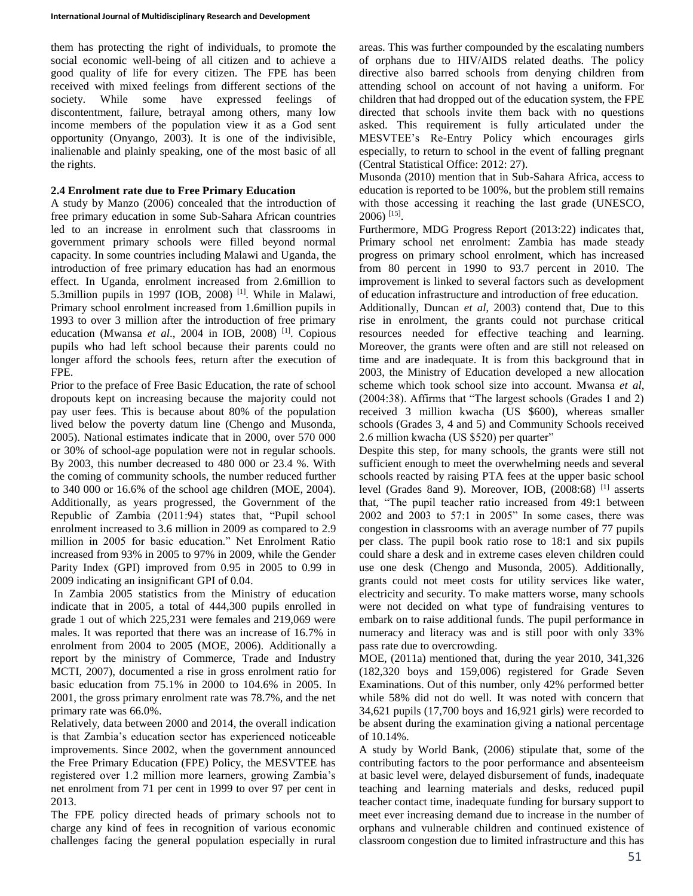them has protecting the right of individuals, to promote the social economic well-being of all citizen and to achieve a good quality of life for every citizen. The FPE has been received with mixed feelings from different sections of the society. While some have expressed feelings of discontentment, failure, betrayal among others, many low income members of the population view it as a God sent opportunity (Onyango, 2003). It is one of the indivisible, inalienable and plainly speaking, one of the most basic of all the rights.

# **2.4 Enrolment rate due to Free Primary Education**

A study by Manzo (2006) concealed that the introduction of free primary education in some Sub-Sahara African countries led to an increase in enrolment such that classrooms in government primary schools were filled beyond normal capacity. In some countries including Malawi and Uganda, the introduction of free primary education has had an enormous effect. In Uganda, enrolment increased from 2.6million to 5.3million pupils in 1997 (IOB, 2008)<sup>[1]</sup>. While in Malawi, Primary school enrolment increased from 1.6million pupils in 1993 to over 3 million after the introduction of free primary education (Mwansa *et al.*, 2004 in IOB, 2008)<sup>[1]</sup>. Copious pupils who had left school because their parents could no longer afford the schools fees, return after the execution of FPE.

Prior to the preface of Free Basic Education, the rate of school dropouts kept on increasing because the majority could not pay user fees. This is because about 80% of the population lived below the poverty datum line (Chengo and Musonda, 2005). National estimates indicate that in 2000, over 570 000 or 30% of school-age population were not in regular schools. By 2003, this number decreased to 480 000 or 23.4 %. With the coming of community schools, the number reduced further to 340 000 or 16.6% of the school age children (MOE, 2004). Additionally, as years progressed, the Government of the Republic of Zambia (2011:94) states that, "Pupil school enrolment increased to 3.6 million in 2009 as compared to 2.9 million in 2005 for basic education." Net Enrolment Ratio increased from 93% in 2005 to 97% in 2009, while the Gender Parity Index (GPI) improved from 0.95 in 2005 to 0.99 in 2009 indicating an insignificant GPI of 0.04.

In Zambia 2005 statistics from the Ministry of education indicate that in 2005, a total of 444,300 pupils enrolled in grade 1 out of which 225,231 were females and 219,069 were males. It was reported that there was an increase of 16.7% in enrolment from 2004 to 2005 (MOE, 2006). Additionally a report by the ministry of Commerce, Trade and Industry MCTI, 2007), documented a rise in gross enrolment ratio for basic education from 75.1% in 2000 to 104.6% in 2005. In 2001, the gross primary enrolment rate was 78.7%, and the net primary rate was 66.0%.

Relatively, data between 2000 and 2014, the overall indication is that Zambia's education sector has experienced noticeable improvements. Since 2002, when the government announced the Free Primary Education (FPE) Policy, the MESVTEE has registered over 1.2 million more learners, growing Zambia's net enrolment from 71 per cent in 1999 to over 97 per cent in 2013.

The FPE policy directed heads of primary schools not to charge any kind of fees in recognition of various economic challenges facing the general population especially in rural areas. This was further compounded by the escalating numbers of orphans due to HIV/AIDS related deaths. The policy directive also barred schools from denying children from attending school on account of not having a uniform. For children that had dropped out of the education system, the FPE directed that schools invite them back with no questions asked. This requirement is fully articulated under the MESVTEE's Re-Entry Policy which encourages girls especially, to return to school in the event of falling pregnant (Central Statistical Office: 2012: 27).

Musonda (2010) mention that in Sub-Sahara Africa, access to education is reported to be 100%, but the problem still remains with those accessing it reaching the last grade (UNESCO, 2006) [15] .

Furthermore, MDG Progress Report (2013:22) indicates that, Primary school net enrolment: Zambia has made steady progress on primary school enrolment, which has increased from 80 percent in 1990 to 93.7 percent in 2010. The improvement is linked to several factors such as development of education infrastructure and introduction of free education.

Additionally, Duncan *et al*, 2003) contend that, Due to this rise in enrolment, the grants could not purchase critical resources needed for effective teaching and learning. Moreover, the grants were often and are still not released on time and are inadequate. It is from this background that in 2003, the Ministry of Education developed a new allocation scheme which took school size into account. Mwansa *et al*, (2004:38). Affirms that "The largest schools (Grades 1 and 2) received 3 million kwacha (US \$600), whereas smaller schools (Grades 3, 4 and 5) and Community Schools received 2.6 million kwacha (US \$520) per quarter"

Despite this step, for many schools, the grants were still not sufficient enough to meet the overwhelming needs and several schools reacted by raising PTA fees at the upper basic school level (Grades 8and 9). Moreover, IOB, (2008:68) [1] asserts that, "The pupil teacher ratio increased from 49:1 between 2002 and 2003 to 57:1 in 2005" In some cases, there was congestion in classrooms with an average number of 77 pupils per class. The pupil book ratio rose to 18:1 and six pupils could share a desk and in extreme cases eleven children could use one desk (Chengo and Musonda, 2005). Additionally, grants could not meet costs for utility services like water, electricity and security. To make matters worse, many schools were not decided on what type of fundraising ventures to embark on to raise additional funds. The pupil performance in numeracy and literacy was and is still poor with only 33% pass rate due to overcrowding.

MOE, (2011a) mentioned that, during the year 2010, 341,326 (182,320 boys and 159,006) registered for Grade Seven Examinations. Out of this number, only 42% performed better while 58% did not do well. It was noted with concern that 34,621 pupils (17,700 boys and 16,921 girls) were recorded to be absent during the examination giving a national percentage of 10.14%.

A study by World Bank, (2006) stipulate that, some of the contributing factors to the poor performance and absenteeism at basic level were, delayed disbursement of funds, inadequate teaching and learning materials and desks, reduced pupil teacher contact time, inadequate funding for bursary support to meet ever increasing demand due to increase in the number of orphans and vulnerable children and continued existence of classroom congestion due to limited infrastructure and this has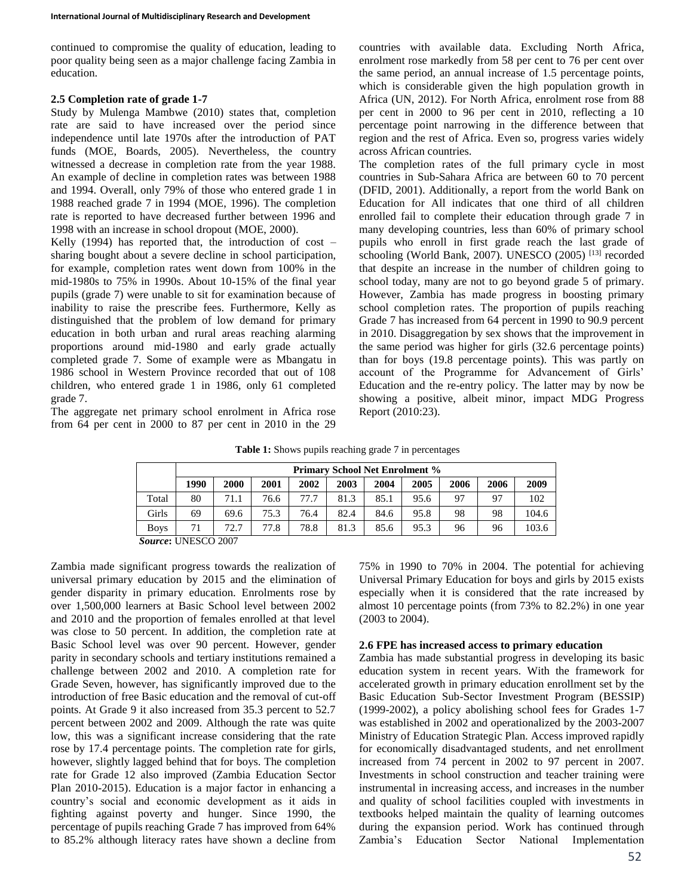continued to compromise the quality of education, leading to poor quality being seen as a major challenge facing Zambia in education.

# **2.5 Completion rate of grade 1-7**

Study by Mulenga Mambwe (2010) states that, completion rate are said to have increased over the period since independence until late 1970s after the introduction of PAT funds (MOE, Boards, 2005). Nevertheless, the country witnessed a decrease in completion rate from the year 1988. An example of decline in completion rates was between 1988 and 1994. Overall, only 79% of those who entered grade 1 in 1988 reached grade 7 in 1994 (MOE, 1996). The completion rate is reported to have decreased further between 1996 and 1998 with an increase in school dropout (MOE, 2000).

Kelly  $(1994)$  has reported that, the introduction of cost – sharing bought about a severe decline in school participation, for example, completion rates went down from 100% in the mid-1980s to 75% in 1990s. About 10-15% of the final year pupils (grade 7) were unable to sit for examination because of inability to raise the prescribe fees. Furthermore, Kelly as distinguished that the problem of low demand for primary education in both urban and rural areas reaching alarming proportions around mid-1980 and early grade actually completed grade 7. Some of example were as Mbangatu in 1986 school in Western Province recorded that out of 108 children, who entered grade 1 in 1986, only 61 completed grade 7.

The aggregate net primary school enrolment in Africa rose from 64 per cent in 2000 to 87 per cent in 2010 in the 29

countries with available data. Excluding North Africa, enrolment rose markedly from 58 per cent to 76 per cent over the same period, an annual increase of 1.5 percentage points, which is considerable given the high population growth in Africa (UN, 2012). For North Africa, enrolment rose from 88 per cent in 2000 to 96 per cent in 2010, reflecting a 10 percentage point narrowing in the difference between that region and the rest of Africa. Even so, progress varies widely across African countries.

The completion rates of the full primary cycle in most countries in Sub-Sahara Africa are between 60 to 70 percent (DFID, 2001). Additionally, a report from the world Bank on Education for All indicates that one third of all children enrolled fail to complete their education through grade 7 in many developing countries, less than 60% of primary school pupils who enroll in first grade reach the last grade of schooling (World Bank, 2007). UNESCO (2005)<sup>[13]</sup> recorded that despite an increase in the number of children going to school today, many are not to go beyond grade 5 of primary. However, Zambia has made progress in boosting primary school completion rates. The proportion of pupils reaching Grade 7 has increased from 64 percent in 1990 to 90.9 percent in 2010. Disaggregation by sex shows that the improvement in the same period was higher for girls (32.6 percentage points) than for boys (19.8 percentage points). This was partly on account of the Programme for Advancement of Girls' Education and the re-entry policy. The latter may by now be showing a positive, albeit minor, impact MDG Progress Report (2010:23).

**Table 1:** Shows pupils reaching grade 7 in percentages

|                             | <b>Primary School Net Enrolment %</b> |      |             |      |      |      |      |      |      |       |
|-----------------------------|---------------------------------------|------|-------------|------|------|------|------|------|------|-------|
|                             | 1990                                  | 2000 | <b>2001</b> | 2002 | 2003 | 2004 | 2005 | 2006 | 2006 | 2009  |
| Total                       | 80                                    | 71.1 | 76.6        | 77.7 | 81.3 | 85.1 | 95.6 | 97   | 97   | 102   |
| Girls                       | 69                                    | 69.6 | 75.3        | 76.4 | 82.4 | 84.6 | 95.8 | 98   | 98   | 104.6 |
| <b>Boys</b>                 | 71                                    | 72.7 | 77.8        | 78.8 | 81.3 | 85.6 | 95.3 | 96   | 96   | 103.6 |
| <b>Course</b> : UNESCO 2007 |                                       |      |             |      |      |      |      |      |      |       |

*Source***:** UNESCO 2007

Zambia made significant progress towards the realization of universal primary education by 2015 and the elimination of gender disparity in primary education. Enrolments rose by over 1,500,000 learners at Basic School level between 2002 and 2010 and the proportion of females enrolled at that level was close to 50 percent. In addition, the completion rate at Basic School level was over 90 percent. However, gender parity in secondary schools and tertiary institutions remained a challenge between 2002 and 2010. A completion rate for Grade Seven, however, has significantly improved due to the introduction of free Basic education and the removal of cut-off points. At Grade 9 it also increased from 35.3 percent to 52.7 percent between 2002 and 2009. Although the rate was quite low, this was a significant increase considering that the rate rose by 17.4 percentage points. The completion rate for girls, however, slightly lagged behind that for boys. The completion rate for Grade 12 also improved (Zambia Education Sector Plan 2010-2015). Education is a major factor in enhancing a country's social and economic development as it aids in fighting against poverty and hunger. Since 1990, the percentage of pupils reaching Grade 7 has improved from 64% to 85.2% although literacy rates have shown a decline from

75% in 1990 to 70% in 2004. The potential for achieving Universal Primary Education for boys and girls by 2015 exists especially when it is considered that the rate increased by almost 10 percentage points (from 73% to 82.2%) in one year (2003 to 2004).

# **2.6 FPE has increased access to primary education**

Zambia has made substantial progress in developing its basic education system in recent years. With the framework for accelerated growth in primary education enrollment set by the Basic Education Sub-Sector Investment Program (BESSIP) (1999-2002), a policy abolishing school fees for Grades 1-7 was established in 2002 and operationalized by the 2003-2007 Ministry of Education Strategic Plan. Access improved rapidly for economically disadvantaged students, and net enrollment increased from 74 percent in 2002 to 97 percent in 2007. Investments in school construction and teacher training were instrumental in increasing access, and increases in the number and quality of school facilities coupled with investments in textbooks helped maintain the quality of learning outcomes during the expansion period. Work has continued through Zambia's Education Sector National Implementation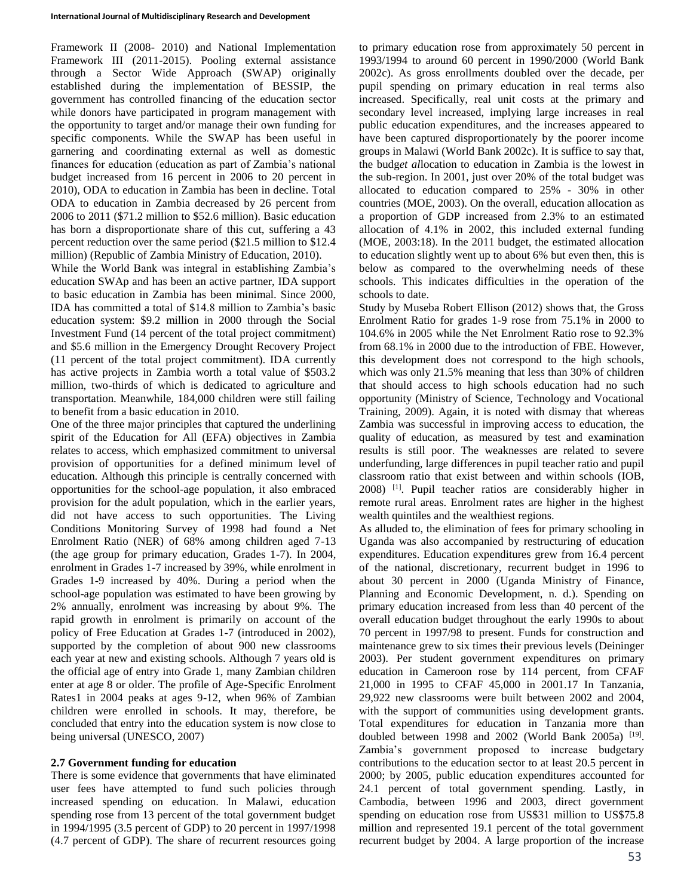Framework II (2008- 2010) and National Implementation Framework III (2011-2015). Pooling external assistance through a Sector Wide Approach (SWAP) originally established during the implementation of BESSIP, the government has controlled financing of the education sector while donors have participated in program management with the opportunity to target and/or manage their own funding for specific components. While the SWAP has been useful in garnering and coordinating external as well as domestic finances for education (education as part of Zambia's national budget increased from 16 percent in 2006 to 20 percent in 2010), ODA to education in Zambia has been in decline. Total ODA to education in Zambia decreased by 26 percent from 2006 to 2011 (\$71.2 million to \$52.6 million). Basic education has born a disproportionate share of this cut, suffering a 43 percent reduction over the same period (\$21.5 million to \$12.4 million) (Republic of Zambia Ministry of Education, 2010).

While the World Bank was integral in establishing Zambia's education SWAp and has been an active partner, IDA support to basic education in Zambia has been minimal. Since 2000, IDA has committed a total of \$14.8 million to Zambia's basic education system: \$9.2 million in 2000 through the Social Investment Fund (14 percent of the total project commitment) and \$5.6 million in the Emergency Drought Recovery Project (11 percent of the total project commitment). IDA currently has active projects in Zambia worth a total value of \$503.2 million, two-thirds of which is dedicated to agriculture and transportation. Meanwhile, 184,000 children were still failing to benefit from a basic education in 2010.

One of the three major principles that captured the underlining spirit of the Education for All (EFA) objectives in Zambia relates to access, which emphasized commitment to universal provision of opportunities for a defined minimum level of education. Although this principle is centrally concerned with opportunities for the school-age population, it also embraced provision for the adult population, which in the earlier years, did not have access to such opportunities. The Living Conditions Monitoring Survey of 1998 had found a Net Enrolment Ratio (NER) of 68% among children aged 7-13 (the age group for primary education, Grades 1-7). In 2004, enrolment in Grades 1-7 increased by 39%, while enrolment in Grades 1-9 increased by 40%. During a period when the school-age population was estimated to have been growing by 2% annually, enrolment was increasing by about 9%. The rapid growth in enrolment is primarily on account of the policy of Free Education at Grades 1-7 (introduced in 2002), supported by the completion of about 900 new classrooms each year at new and existing schools. Although 7 years old is the official age of entry into Grade 1, many Zambian children enter at age 8 or older. The profile of Age-Specific Enrolment Rates1 in 2004 peaks at ages 9-12, when 96% of Zambian children were enrolled in schools. It may, therefore, be concluded that entry into the education system is now close to being universal (UNESCO, 2007)

# **2.7 Government funding for education**

There is some evidence that governments that have eliminated user fees have attempted to fund such policies through increased spending on education. In Malawi, education spending rose from 13 percent of the total government budget in 1994/1995 (3.5 percent of GDP) to 20 percent in 1997/1998 (4.7 percent of GDP). The share of recurrent resources going to primary education rose from approximately 50 percent in 1993/1994 to around 60 percent in 1990/2000 (World Bank 2002c). As gross enrollments doubled over the decade, per pupil spending on primary education in real terms also increased. Specifically, real unit costs at the primary and secondary level increased, implying large increases in real public education expenditures, and the increases appeared to have been captured disproportionately by the poorer income groups in Malawi (World Bank 2002c). It is suffice to say that, the budg*et al*location to education in Zambia is the lowest in the sub-region. In 2001, just over 20% of the total budget was allocated to education compared to 25% - 30% in other countries (MOE, 2003). On the overall, education allocation as a proportion of GDP increased from 2.3% to an estimated allocation of 4.1% in 2002, this included external funding (MOE, 2003:18). In the 2011 budget, the estimated allocation to education slightly went up to about 6% but even then, this is below as compared to the overwhelming needs of these schools. This indicates difficulties in the operation of the schools to date.

Study by Museba Robert Ellison (2012) shows that, the Gross Enrolment Ratio for grades 1-9 rose from 75.1% in 2000 to 104.6% in 2005 while the Net Enrolment Ratio rose to 92.3% from 68.1% in 2000 due to the introduction of FBE. However, this development does not correspond to the high schools, which was only 21.5% meaning that less than 30% of children that should access to high schools education had no such opportunity (Ministry of Science, Technology and Vocational Training, 2009). Again, it is noted with dismay that whereas Zambia was successful in improving access to education, the quality of education, as measured by test and examination results is still poor. The weaknesses are related to severe underfunding, large differences in pupil teacher ratio and pupil classroom ratio that exist between and within schools (IOB, 2008) [1]. Pupil teacher ratios are considerably higher in remote rural areas. Enrolment rates are higher in the highest wealth quintiles and the wealthiest regions.

As alluded to, the elimination of fees for primary schooling in Uganda was also accompanied by restructuring of education expenditures. Education expenditures grew from 16.4 percent of the national, discretionary, recurrent budget in 1996 to about 30 percent in 2000 (Uganda Ministry of Finance, Planning and Economic Development, n. d.). Spending on primary education increased from less than 40 percent of the overall education budget throughout the early 1990s to about 70 percent in 1997/98 to present. Funds for construction and maintenance grew to six times their previous levels (Deininger 2003). Per student government expenditures on primary education in Cameroon rose by 114 percent, from CFAF 21,000 in 1995 to CFAF 45,000 in 2001.17 In Tanzania, 29,922 new classrooms were built between 2002 and 2004, with the support of communities using development grants. Total expenditures for education in Tanzania more than doubled between 1998 and 2002 (World Bank 2005a)  $[19]$ . Zambia's government proposed to increase budgetary contributions to the education sector to at least 20.5 percent in 2000; by 2005, public education expenditures accounted for 24.1 percent of total government spending. Lastly, in Cambodia, between 1996 and 2003, direct government spending on education rose from US\$31 million to US\$75.8 million and represented 19.1 percent of the total government recurrent budget by 2004. A large proportion of the increase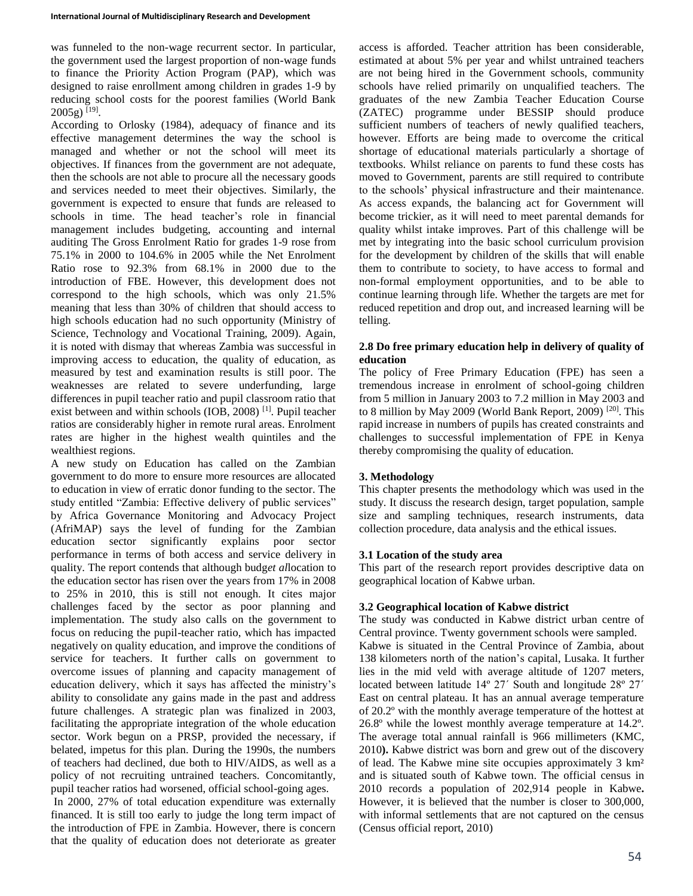was funneled to the non-wage recurrent sector. In particular, the government used the largest proportion of non-wage funds to finance the Priority Action Program (PAP), which was designed to raise enrollment among children in grades 1-9 by reducing school costs for the poorest families (World Bank 2005g)<sup>[19]</sup>.

According to Orlosky (1984), adequacy of finance and its effective management determines the way the school is managed and whether or not the school will meet its objectives. If finances from the government are not adequate, then the schools are not able to procure all the necessary goods and services needed to meet their objectives. Similarly, the government is expected to ensure that funds are released to schools in time. The head teacher's role in financial management includes budgeting, accounting and internal auditing The Gross Enrolment Ratio for grades 1-9 rose from 75.1% in 2000 to 104.6% in 2005 while the Net Enrolment Ratio rose to 92.3% from 68.1% in 2000 due to the introduction of FBE. However, this development does not correspond to the high schools, which was only 21.5% meaning that less than 30% of children that should access to high schools education had no such opportunity (Ministry of Science, Technology and Vocational Training, 2009). Again, it is noted with dismay that whereas Zambia was successful in improving access to education, the quality of education, as measured by test and examination results is still poor. The weaknesses are related to severe underfunding, large differences in pupil teacher ratio and pupil classroom ratio that exist between and within schools (IOB, 2008)<sup>[1]</sup>. Pupil teacher ratios are considerably higher in remote rural areas. Enrolment rates are higher in the highest wealth quintiles and the wealthiest regions.

A new study on Education has called on the Zambian government to do more to ensure more resources are allocated to education in view of erratic donor funding to the sector. The study entitled "Zambia: Effective delivery of public services" by Africa Governance Monitoring and Advocacy Project (AfriMAP) says the level of funding for the Zambian education sector significantly explains poor sector performance in terms of both access and service delivery in quality. The report contends that although budg*et al*location to the education sector has risen over the years from 17% in 2008 to 25% in 2010, this is still not enough. It cites major challenges faced by the sector as poor planning and implementation. The study also calls on the government to focus on reducing the pupil-teacher ratio, which has impacted negatively on quality education, and improve the conditions of service for teachers. It further calls on government to overcome issues of planning and capacity management of education delivery, which it says has affected the ministry's ability to consolidate any gains made in the past and address future challenges. A strategic plan was finalized in 2003, facilitating the appropriate integration of the whole education sector. Work begun on a PRSP, provided the necessary, if belated, impetus for this plan. During the 1990s, the numbers of teachers had declined, due both to HIV/AIDS, as well as a policy of not recruiting untrained teachers. Concomitantly, pupil teacher ratios had worsened, official school-going ages.

In 2000, 27% of total education expenditure was externally financed. It is still too early to judge the long term impact of the introduction of FPE in Zambia. However, there is concern that the quality of education does not deteriorate as greater access is afforded. Teacher attrition has been considerable, estimated at about 5% per year and whilst untrained teachers are not being hired in the Government schools, community schools have relied primarily on unqualified teachers. The graduates of the new Zambia Teacher Education Course (ZATEC) programme under BESSIP should produce sufficient numbers of teachers of newly qualified teachers, however. Efforts are being made to overcome the critical shortage of educational materials particularly a shortage of textbooks. Whilst reliance on parents to fund these costs has moved to Government, parents are still required to contribute to the schools' physical infrastructure and their maintenance. As access expands, the balancing act for Government will become trickier, as it will need to meet parental demands for quality whilst intake improves. Part of this challenge will be met by integrating into the basic school curriculum provision for the development by children of the skills that will enable them to contribute to society, to have access to formal and non-formal employment opportunities, and to be able to continue learning through life. Whether the targets are met for reduced repetition and drop out, and increased learning will be telling.

# **2.8 Do free primary education help in delivery of quality of education**

The policy of Free Primary Education (FPE) has seen a tremendous increase in enrolment of school-going children from 5 million in January 2003 to 7.2 million in May 2003 and to 8 million by May 2009 (World Bank Report, 2009)<sup>[20]</sup>. This rapid increase in numbers of pupils has created constraints and challenges to successful implementation of FPE in Kenya thereby compromising the quality of education.

# **3. Methodology**

This chapter presents the methodology which was used in the study. It discuss the research design, target population, sample size and sampling techniques, research instruments, data collection procedure, data analysis and the ethical issues.

# **3.1 Location of the study area**

This part of the research report provides descriptive data on geographical location of Kabwe urban.

# **3.2 Geographical location of Kabwe district**

The study was conducted in Kabwe district urban centre of Central province. Twenty government schools were sampled. Kabwe is situated in the Central Province of Zambia, about 138 kilometers north of the nation's capital, Lusaka. It further lies in the mid veld with average altitude of 1207 meters, located between latitude 14º 27΄ South and longitude 28º 27΄ East on central plateau. It has an annual average temperature of 20.2º with the monthly average temperature of the hottest at 26.8º while the lowest monthly average temperature at 14.2º. The average total annual rainfall is 966 millimeters (KMC, 2010**).** Kabwe district was born and grew out of the discovery of lead. The Kabwe mine site occupies approximately 3 km² and is situated south of Kabwe town. The official census in 2010 records a population of 202,914 people in Kabwe**.**  However, it is believed that the number is closer to 300,000, with informal settlements that are not captured on the census (Census official report, 2010)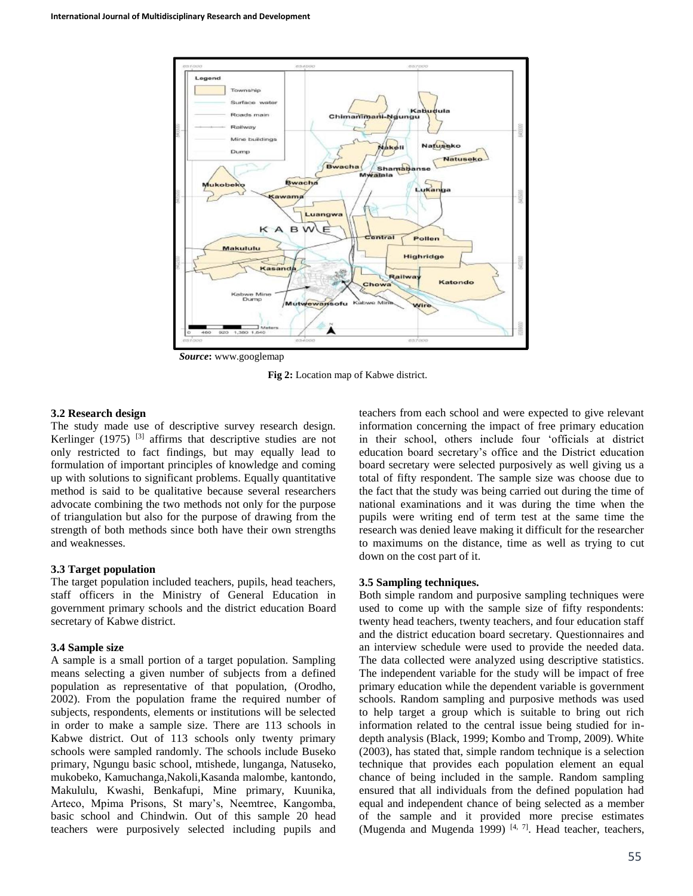

**Fig 2:** Location map of Kabwe district.

#### **3.2 Research design**

The study made use of descriptive survey research design. Kerlinger (1975)<sup>[3]</sup> affirms that descriptive studies are not only restricted to fact findings, but may equally lead to formulation of important principles of knowledge and coming up with solutions to significant problems. Equally quantitative method is said to be qualitative because several researchers advocate combining the two methods not only for the purpose of triangulation but also for the purpose of drawing from the strength of both methods since both have their own strengths and weaknesses.

#### **3.3 Target population**

The target population included teachers, pupils, head teachers, staff officers in the Ministry of General Education in government primary schools and the district education Board secretary of Kabwe district.

#### **3.4 Sample size**

A sample is a small portion of a target population. Sampling means selecting a given number of subjects from a defined population as representative of that population, (Orodho, 2002). From the population frame the required number of subjects, respondents, elements or institutions will be selected in order to make a sample size. There are 113 schools in Kabwe district. Out of 113 schools only twenty primary schools were sampled randomly. The schools include Buseko primary, Ngungu basic school, mtishede, lunganga, Natuseko, mukobeko, Kamuchanga,Nakoli,Kasanda malombe, kantondo, Makululu, Kwashi, Benkafupi, Mine primary, Kuunika, Arteco, Mpima Prisons, St mary's, Neemtree, Kangomba, basic school and Chindwin. Out of this sample 20 head teachers were purposively selected including pupils and

teachers from each school and were expected to give relevant information concerning the impact of free primary education in their school, others include four 'officials at district education board secretary's office and the District education board secretary were selected purposively as well giving us a total of fifty respondent. The sample size was choose due to the fact that the study was being carried out during the time of national examinations and it was during the time when the pupils were writing end of term test at the same time the research was denied leave making it difficult for the researcher to maximums on the distance, time as well as trying to cut down on the cost part of it.

#### **3.5 Sampling techniques.**

Both simple random and purposive sampling techniques were used to come up with the sample size of fifty respondents: twenty head teachers, twenty teachers, and four education staff and the district education board secretary. Questionnaires and an interview schedule were used to provide the needed data. The data collected were analyzed using descriptive statistics. The independent variable for the study will be impact of free primary education while the dependent variable is government schools. Random sampling and purposive methods was used to help target a group which is suitable to bring out rich information related to the central issue being studied for indepth analysis (Black, 1999; Kombo and Tromp, 2009). White (2003), has stated that, simple random technique is a selection technique that provides each population element an equal chance of being included in the sample. Random sampling ensured that all individuals from the defined population had equal and independent chance of being selected as a member of the sample and it provided more precise estimates (Mugenda and Mugenda 1999)  $[4, 7]$ . Head teacher, teachers,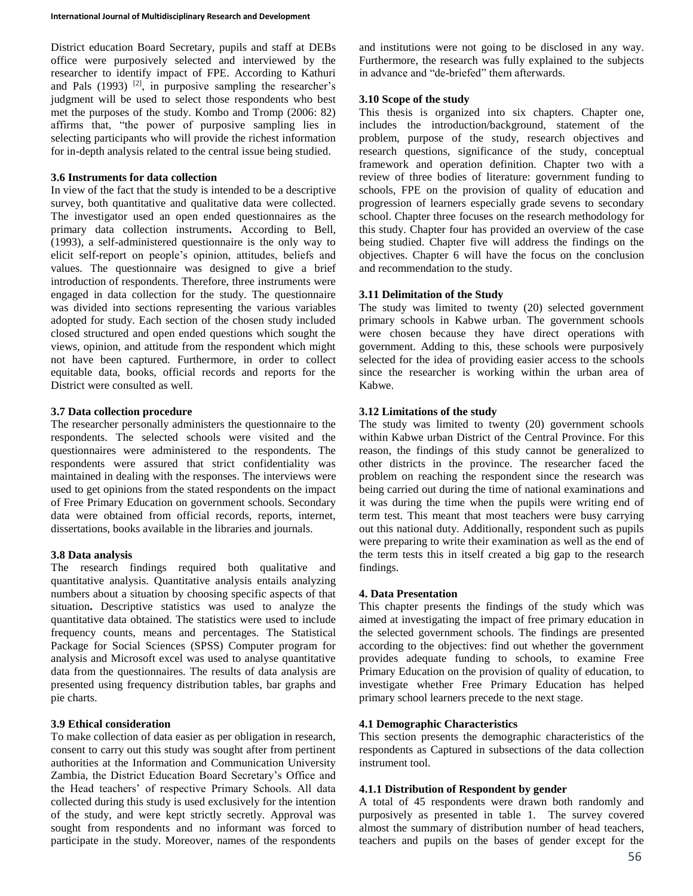District education Board Secretary, pupils and staff at DEBs office were purposively selected and interviewed by the researcher to identify impact of FPE. According to Kathuri and Pals  $(1993)$  <sup>[2]</sup>, in purposive sampling the researcher's judgment will be used to select those respondents who best met the purposes of the study. Kombo and Tromp (2006: 82) affirms that, "the power of purposive sampling lies in selecting participants who will provide the richest information for in-depth analysis related to the central issue being studied.

## **3.6 Instruments for data collection**

In view of the fact that the study is intended to be a descriptive survey, both quantitative and qualitative data were collected. The investigator used an open ended questionnaires as the primary data collection instruments**.** According to Bell, (1993), a self-administered questionnaire is the only way to elicit self-report on people's opinion, attitudes, beliefs and values. The questionnaire was designed to give a brief introduction of respondents. Therefore, three instruments were engaged in data collection for the study. The questionnaire was divided into sections representing the various variables adopted for study. Each section of the chosen study included closed structured and open ended questions which sought the views, opinion, and attitude from the respondent which might not have been captured. Furthermore, in order to collect equitable data, books, official records and reports for the District were consulted as well.

# **3.7 Data collection procedure**

The researcher personally administers the questionnaire to the respondents. The selected schools were visited and the questionnaires were administered to the respondents. The respondents were assured that strict confidentiality was maintained in dealing with the responses. The interviews were used to get opinions from the stated respondents on the impact of Free Primary Education on government schools. Secondary data were obtained from official records, reports, internet, dissertations, books available in the libraries and journals.

# **3.8 Data analysis**

The research findings required both qualitative and quantitative analysis. Quantitative analysis entails analyzing numbers about a situation by choosing specific aspects of that situation**.** Descriptive statistics was used to analyze the quantitative data obtained. The statistics were used to include frequency counts, means and percentages. The Statistical Package for Social Sciences (SPSS) Computer program for analysis and Microsoft excel was used to analyse quantitative data from the questionnaires. The results of data analysis are presented using frequency distribution tables, bar graphs and pie charts.

## **3.9 Ethical consideration**

To make collection of data easier as per obligation in research, consent to carry out this study was sought after from pertinent authorities at the Information and Communication University Zambia, the District Education Board Secretary's Office and the Head teachers' of respective Primary Schools. All data collected during this study is used exclusively for the intention of the study, and were kept strictly secretly. Approval was sought from respondents and no informant was forced to participate in the study. Moreover, names of the respondents

and institutions were not going to be disclosed in any way. Furthermore, the research was fully explained to the subjects in advance and "de-briefed" them afterwards.

# **3.10 Scope of the study**

This thesis is organized into six chapters. Chapter one, includes the introduction/background, statement of the problem, purpose of the study, research objectives and research questions, significance of the study, conceptual framework and operation definition. Chapter two with a review of three bodies of literature: government funding to schools, FPE on the provision of quality of education and progression of learners especially grade sevens to secondary school. Chapter three focuses on the research methodology for this study. Chapter four has provided an overview of the case being studied. Chapter five will address the findings on the objectives. Chapter 6 will have the focus on the conclusion and recommendation to the study.

# **3.11 Delimitation of the Study**

The study was limited to twenty (20) selected government primary schools in Kabwe urban. The government schools were chosen because they have direct operations with government. Adding to this, these schools were purposively selected for the idea of providing easier access to the schools since the researcher is working within the urban area of Kabwe.

# **3.12 Limitations of the study**

The study was limited to twenty (20) government schools within Kabwe urban District of the Central Province. For this reason, the findings of this study cannot be generalized to other districts in the province. The researcher faced the problem on reaching the respondent since the research was being carried out during the time of national examinations and it was during the time when the pupils were writing end of term test. This meant that most teachers were busy carrying out this national duty. Additionally, respondent such as pupils were preparing to write their examination as well as the end of the term tests this in itself created a big gap to the research findings.

### **4. Data Presentation**

This chapter presents the findings of the study which was aimed at investigating the impact of free primary education in the selected government schools. The findings are presented according to the objectives: find out whether the government provides adequate funding to schools, to examine Free Primary Education on the provision of quality of education, to investigate whether Free Primary Education has helped primary school learners precede to the next stage.

## **4.1 Demographic Characteristics**

This section presents the demographic characteristics of the respondents as Captured in subsections of the data collection instrument tool.

### **4.1.1 Distribution of Respondent by gender**

A total of 45 respondents were drawn both randomly and purposively as presented in table 1. The survey covered almost the summary of distribution number of head teachers, teachers and pupils on the bases of gender except for the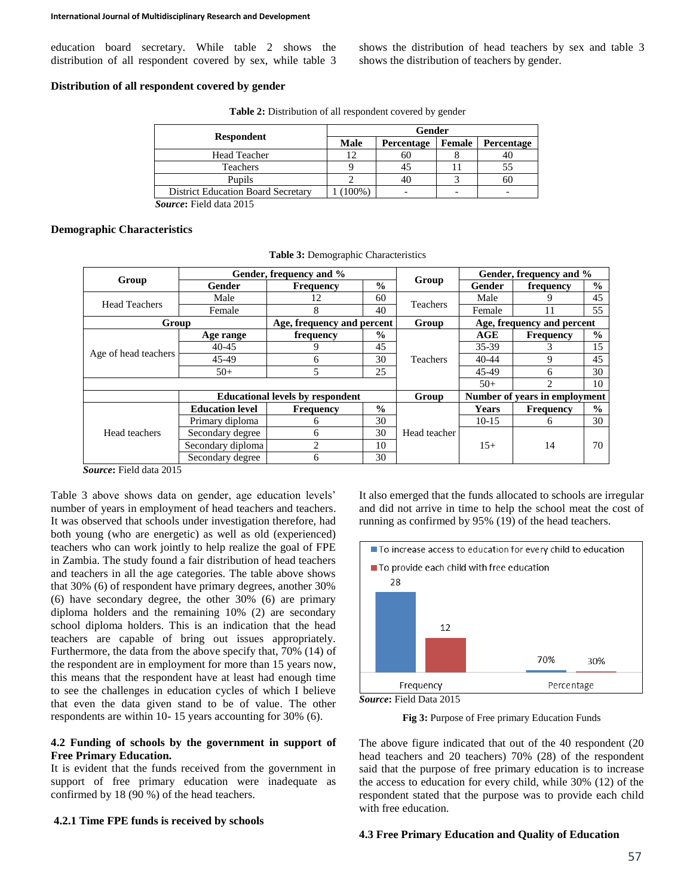education board secretary. While table 2 shows the distribution of all respondent covered by sex, while table 3

### **Distribution of all respondent covered by gender**

|                                           | Gender    |            |        |            |  |  |
|-------------------------------------------|-----------|------------|--------|------------|--|--|
| <b>Respondent</b>                         | Male      | Percentage | Female | Percentage |  |  |
| <b>Head Teacher</b>                       | 12        | 60         |        |            |  |  |
| Teachers                                  |           |            |        |            |  |  |
| Pupils                                    |           | 40         |        | 60         |  |  |
| <b>District Education Board Secretary</b> | $100\%$ ) |            |        |            |  |  |

**Table 2:** Distribution of all respondent covered by gender

*Source***:** Field data 2015

#### **Demographic Characteristics**

|                      | Gender, frequency and %                 |                            | Gender, frequency and % |                 |                               |                  |               |  |
|----------------------|-----------------------------------------|----------------------------|-------------------------|-----------------|-------------------------------|------------------|---------------|--|
| Group                | Gender                                  | <b>Frequency</b>           | $\frac{0}{0}$           | Group           | <b>Gender</b>                 | frequency        | $\frac{0}{0}$ |  |
| <b>Head Teachers</b> | Male                                    | 12                         | 60                      | Teachers        | Male                          | 9                | 45            |  |
|                      | Female                                  | 8                          | 40                      |                 | Female                        | 11               | 55            |  |
| Group                |                                         | Age, frequency and percent |                         | Group           | Age, frequency and percent    |                  |               |  |
|                      | Age range                               | frequency                  | $\frac{0}{0}$           |                 | AGE                           | <b>Frequency</b> | $\frac{0}{0}$ |  |
| Age of head teachers | $40 - 45$                               | 9                          | 45                      | <b>Teachers</b> | $35 - 39$                     | 3                | 15            |  |
|                      | 45-49                                   | 6                          | 30                      |                 | $40 - 44$                     | 9                | 45            |  |
|                      | $50+$                                   | 5<br>25                    |                         |                 | 45-49                         | 6                | 30            |  |
|                      |                                         |                            |                         |                 | $50+$                         | $\mathfrak{D}$   | 10            |  |
|                      | <b>Educational levels by respondent</b> |                            |                         | Group           | Number of years in employment |                  |               |  |
|                      | <b>Education level</b>                  | <b>Frequency</b>           | $\frac{0}{0}$           |                 | <b>Years</b>                  | <b>Frequency</b> | $\frac{0}{0}$ |  |
|                      | Primary diploma                         | 6                          | 30                      |                 | $10-15$                       | 6                | 30            |  |
| Head teachers        | Secondary degree                        | 6                          | 30                      | Head teacher    |                               |                  | 70            |  |
|                      | Secondary diploma                       | $\overline{c}$             | 10                      |                 | 14<br>$15+$                   |                  |               |  |
|                      | Secondary degree                        | 6                          | 30                      |                 |                               |                  |               |  |

**Table 3:** Demographic Characteristics

*Source***:** Field data 2015

Table 3 above shows data on gender, age education levels' number of years in employment of head teachers and teachers. It was observed that schools under investigation therefore, had both young (who are energetic) as well as old (experienced) teachers who can work jointly to help realize the goal of FPE in Zambia. The study found a fair distribution of head teachers and teachers in all the age categories. The table above shows that 30% (6) of respondent have primary degrees, another 30% (6) have secondary degree, the other 30% (6) are primary diploma holders and the remaining 10% (2) are secondary school diploma holders. This is an indication that the head teachers are capable of bring out issues appropriately. Furthermore, the data from the above specify that, 70% (14) of the respondent are in employment for more than 15 years now, this means that the respondent have at least had enough time to see the challenges in education cycles of which I believe that even the data given stand to be of value. The other respondents are within 10- 15 years accounting for 30% (6).

# **4.2 Funding of schools by the government in support of Free Primary Education.**

It is evident that the funds received from the government in support of free primary education were inadequate as confirmed by 18 (90 %) of the head teachers.

### **4.2.1 Time FPE funds is received by schools**

It also emerged that the funds allocated to schools are irregular and did not arrive in time to help the school meat the cost of running as confirmed by 95% (19) of the head teachers.

shows the distribution of head teachers by sex and table 3

shows the distribution of teachers by gender.





**Fig 3:** Purpose of Free primary Education Funds

The above figure indicated that out of the 40 respondent (20 head teachers and 20 teachers) 70% (28) of the respondent said that the purpose of free primary education is to increase the access to education for every child, while 30% (12) of the respondent stated that the purpose was to provide each child with free education.

### **4.3 Free Primary Education and Quality of Education**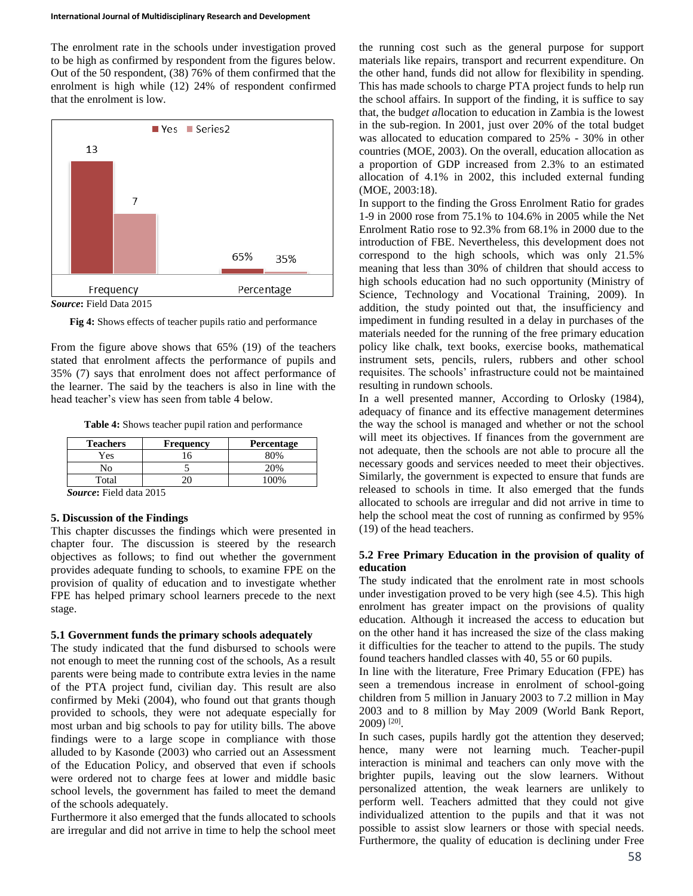The enrolment rate in the schools under investigation proved to be high as confirmed by respondent from the figures below. Out of the 50 respondent, (38) 76% of them confirmed that the enrolment is high while (12) 24% of respondent confirmed that the enrolment is low.



*Source***:** Field Data 2015

**Fig 4:** Shows effects of teacher pupils ratio and performance

From the figure above shows that 65% (19) of the teachers stated that enrolment affects the performance of pupils and 35% (7) says that enrolment does not affect performance of the learner. The said by the teachers is also in line with the head teacher's view has seen from table 4 below.

**Table 4:** Shows teacher pupil ration and performance

| <b>Teachers</b>                | <b>Frequency</b> | Percentage |  |  |  |  |
|--------------------------------|------------------|------------|--|--|--|--|
| Yes                            |                  | 80%        |  |  |  |  |
| Ñо                             |                  | 20%        |  |  |  |  |
| Total                          |                  | 100%       |  |  |  |  |
| $\sim$<br>$\sim$ $\sim$ $\sim$ |                  |            |  |  |  |  |

*Source***:** Field data 2015

# **5. Discussion of the Findings**

This chapter discusses the findings which were presented in chapter four. The discussion is steered by the research objectives as follows; to find out whether the government provides adequate funding to schools, to examine FPE on the provision of quality of education and to investigate whether FPE has helped primary school learners precede to the next stage.

#### **5.1 Government funds the primary schools adequately**

The study indicated that the fund disbursed to schools were not enough to meet the running cost of the schools, As a result parents were being made to contribute extra levies in the name of the PTA project fund, civilian day. This result are also confirmed by Meki (2004), who found out that grants though provided to schools, they were not adequate especially for most urban and big schools to pay for utility bills. The above findings were to a large scope in compliance with those alluded to by Kasonde (2003) who carried out an Assessment of the Education Policy, and observed that even if schools were ordered not to charge fees at lower and middle basic school levels, the government has failed to meet the demand of the schools adequately.

Furthermore it also emerged that the funds allocated to schools are irregular and did not arrive in time to help the school meet

the running cost such as the general purpose for support materials like repairs, transport and recurrent expenditure. On the other hand, funds did not allow for flexibility in spending. This has made schools to charge PTA project funds to help run the school affairs. In support of the finding, it is suffice to say that, the budg*et al*location to education in Zambia is the lowest in the sub-region. In 2001, just over 20% of the total budget was allocated to education compared to 25% - 30% in other countries (MOE, 2003). On the overall, education allocation as a proportion of GDP increased from 2.3% to an estimated allocation of 4.1% in 2002, this included external funding (MOE, 2003:18).

In support to the finding the Gross Enrolment Ratio for grades 1-9 in 2000 rose from 75.1% to 104.6% in 2005 while the Net Enrolment Ratio rose to 92.3% from 68.1% in 2000 due to the introduction of FBE. Nevertheless, this development does not correspond to the high schools, which was only 21.5% meaning that less than 30% of children that should access to high schools education had no such opportunity (Ministry of Science, Technology and Vocational Training, 2009). In addition, the study pointed out that, the insufficiency and impediment in funding resulted in a delay in purchases of the materials needed for the running of the free primary education policy like chalk, text books, exercise books, mathematical instrument sets, pencils, rulers, rubbers and other school requisites. The schools' infrastructure could not be maintained resulting in rundown schools.

In a well presented manner, According to Orlosky (1984), adequacy of finance and its effective management determines the way the school is managed and whether or not the school will meet its objectives. If finances from the government are not adequate, then the schools are not able to procure all the necessary goods and services needed to meet their objectives. Similarly, the government is expected to ensure that funds are released to schools in time. It also emerged that the funds allocated to schools are irregular and did not arrive in time to help the school meat the cost of running as confirmed by 95% (19) of the head teachers.

## **5.2 Free Primary Education in the provision of quality of education**

The study indicated that the enrolment rate in most schools under investigation proved to be very high (see 4.5). This high enrolment has greater impact on the provisions of quality education. Although it increased the access to education but on the other hand it has increased the size of the class making it difficulties for the teacher to attend to the pupils. The study found teachers handled classes with 40, 55 or 60 pupils.

In line with the literature, Free Primary Education (FPE) has seen a tremendous increase in enrolment of school-going children from 5 million in January 2003 to 7.2 million in May 2003 and to 8 million by May 2009 (World Bank Report, 2009) [20] .

In such cases, pupils hardly got the attention they deserved; hence, many were not learning much. Teacher-pupil interaction is minimal and teachers can only move with the brighter pupils, leaving out the slow learners. Without personalized attention, the weak learners are unlikely to perform well. Teachers admitted that they could not give individualized attention to the pupils and that it was not possible to assist slow learners or those with special needs. Furthermore, the quality of education is declining under Free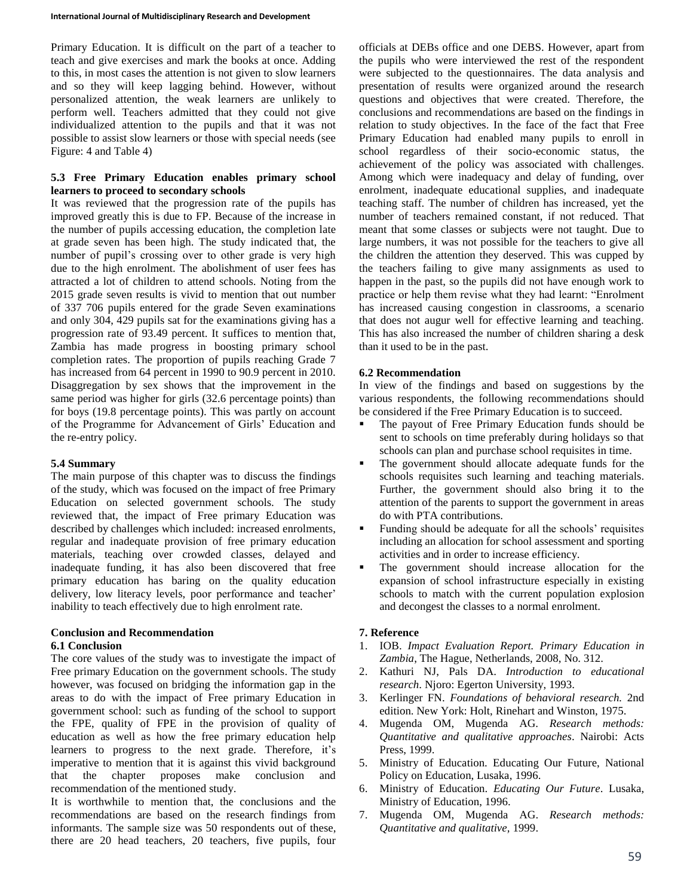Primary Education. It is difficult on the part of a teacher to teach and give exercises and mark the books at once. Adding to this, in most cases the attention is not given to slow learners and so they will keep lagging behind. However, without personalized attention, the weak learners are unlikely to perform well. Teachers admitted that they could not give individualized attention to the pupils and that it was not possible to assist slow learners or those with special needs (see Figure: 4 and Table 4)

# **5.3 Free Primary Education enables primary school learners to proceed to secondary schools**

It was reviewed that the progression rate of the pupils has improved greatly this is due to FP. Because of the increase in the number of pupils accessing education, the completion late at grade seven has been high. The study indicated that, the number of pupil's crossing over to other grade is very high due to the high enrolment. The abolishment of user fees has attracted a lot of children to attend schools. Noting from the 2015 grade seven results is vivid to mention that out number of 337 706 pupils entered for the grade Seven examinations and only 304, 429 pupils sat for the examinations giving has a progression rate of 93.49 percent. It suffices to mention that, Zambia has made progress in boosting primary school completion rates. The proportion of pupils reaching Grade 7 has increased from 64 percent in 1990 to 90.9 percent in 2010. Disaggregation by sex shows that the improvement in the same period was higher for girls (32.6 percentage points) than for boys (19.8 percentage points). This was partly on account of the Programme for Advancement of Girls' Education and the re-entry policy.

# **5.4 Summary**

The main purpose of this chapter was to discuss the findings of the study, which was focused on the impact of free Primary Education on selected government schools. The study reviewed that, the impact of Free primary Education was described by challenges which included: increased enrolments, regular and inadequate provision of free primary education materials, teaching over crowded classes, delayed and inadequate funding, it has also been discovered that free primary education has baring on the quality education delivery, low literacy levels, poor performance and teacher' inability to teach effectively due to high enrolment rate.

# **Conclusion and Recommendation 6.1 Conclusion**

The core values of the study was to investigate the impact of Free primary Education on the government schools. The study however, was focused on bridging the information gap in the areas to do with the impact of Free primary Education in government school: such as funding of the school to support the FPE, quality of FPE in the provision of quality of education as well as how the free primary education help learners to progress to the next grade. Therefore, it's imperative to mention that it is against this vivid background that the chapter proposes make conclusion and recommendation of the mentioned study.

It is worthwhile to mention that, the conclusions and the recommendations are based on the research findings from informants. The sample size was 50 respondents out of these, there are 20 head teachers, 20 teachers, five pupils, four

officials at DEBs office and one DEBS. However, apart from the pupils who were interviewed the rest of the respondent were subjected to the questionnaires. The data analysis and presentation of results were organized around the research questions and objectives that were created. Therefore, the conclusions and recommendations are based on the findings in relation to study objectives. In the face of the fact that Free Primary Education had enabled many pupils to enroll in school regardless of their socio-economic status, the achievement of the policy was associated with challenges. Among which were inadequacy and delay of funding, over enrolment, inadequate educational supplies, and inadequate teaching staff. The number of children has increased, yet the number of teachers remained constant, if not reduced. That meant that some classes or subjects were not taught. Due to large numbers, it was not possible for the teachers to give all the children the attention they deserved. This was cupped by the teachers failing to give many assignments as used to happen in the past, so the pupils did not have enough work to practice or help them revise what they had learnt: "Enrolment has increased causing congestion in classrooms, a scenario that does not augur well for effective learning and teaching. This has also increased the number of children sharing a desk than it used to be in the past.

# **6.2 Recommendation**

In view of the findings and based on suggestions by the various respondents, the following recommendations should be considered if the Free Primary Education is to succeed.

- The payout of Free Primary Education funds should be sent to schools on time preferably during holidays so that schools can plan and purchase school requisites in time.
- The government should allocate adequate funds for the schools requisites such learning and teaching materials. Further, the government should also bring it to the attention of the parents to support the government in areas do with PTA contributions.
- Funding should be adequate for all the schools' requisites including an allocation for school assessment and sporting activities and in order to increase efficiency.
- The government should increase allocation for the expansion of school infrastructure especially in existing schools to match with the current population explosion and decongest the classes to a normal enrolment.

# **7. Reference**

- 1. IOB. *Impact Evaluation Report. Primary Education in Zambia*, The Hague, Netherlands, 2008, No. 312.
- 2. Kathuri NJ, Pals DA. *Introduction to educational research*. Njoro: Egerton University, 1993.
- 3. Kerlinger FN. *Foundations of behavioral research.* 2nd edition. New York: Holt, Rinehart and Winston, 1975.
- 4. Mugenda OM, Mugenda AG. *Research methods: Quantitative and qualitative approaches*. Nairobi: Acts Press, 1999.
- 5. Ministry of Education. Educating Our Future, National Policy on Education, Lusaka, 1996.
- 6. Ministry of Education. *Educating Our Future*. Lusaka, Ministry of Education, 1996.
- 7. Mugenda OM, Mugenda AG. *Research methods: Quantitative and qualitative,* 1999.